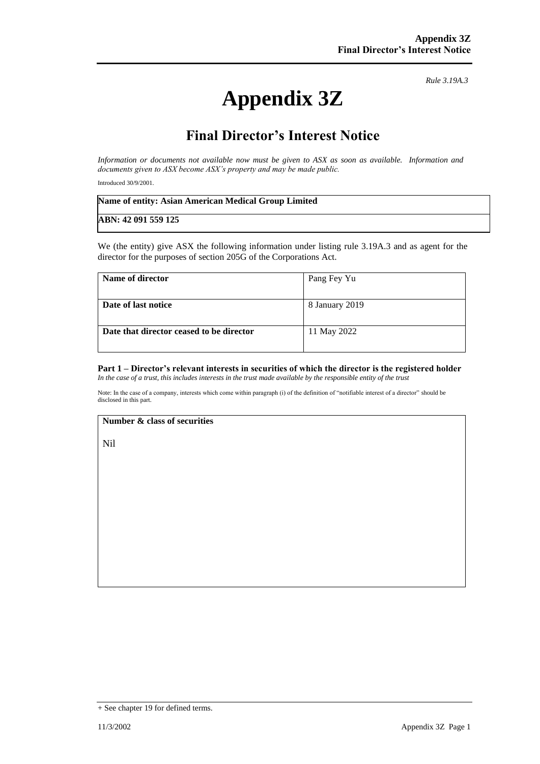# **Appendix 3Z**

 *Rule 3.19A.3*

## **Final Director's Interest Notice**

*Information or documents not available now must be given to ASX as soon as available. Information and documents given to ASX become ASX's property and may be made public.*

Introduced 30/9/2001.

| Name of entity: Asian American Medical Group Limited |  |
|------------------------------------------------------|--|
| ABN: 42 091 559 125                                  |  |

We (the entity) give ASX the following information under listing rule 3.19A.3 and as agent for the director for the purposes of section 205G of the Corporations Act.

| Name of director                         | Pang Fey Yu    |
|------------------------------------------|----------------|
| Date of last notice                      | 8 January 2019 |
| Date that director ceased to be director | 11 May 2022    |

#### **Part 1 – Director's relevant interests in securities of which the director is the registered holder** *In the case of a trust, this includes interests in the trust made available by the responsible entity of the trust*

Note: In the case of a company, interests which come within paragraph (i) of the definition of "notifiable interest of a director" should be disclosed in this part.

#### **Number & class of securities**

Nil

<sup>+</sup> See chapter 19 for defined terms.